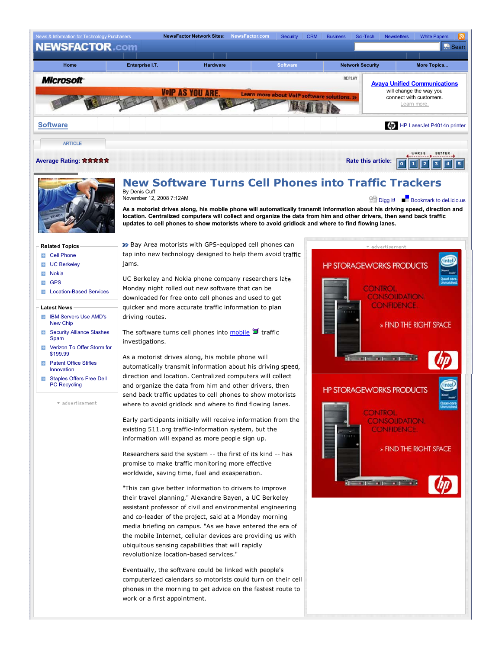



# **New Software Turns Cell Phones into Traffic Trackers**

By Denis Cuff<br>November 12, 2008 7:12AM

**As a motorist drives along, his mobile phone will automatically transmit information about his driving speed, direction and location. Centralized computers will collect and organize the data from him and other drivers, then send back traffic updates to cell phones to show motorists where to avoid gridlock and where to find flowing lanes.**

## **Related Topics**

- Cell Phone  $\rightarrow$
- $\rightarrow$ UC Berkeley
- **E** Nokia
- **EL GPS**
- **Location-Based Services**

#### **Latest News**

- **IBM Servers Use AMD's** New Chip
- **Security Alliance Slashes** Spam
- Verizon To Offer Storm for  $\Rightarrow$ \$199.99
- $\rightarrow$ Patent Office Stifles Innovation
- Staples Offers Free Dell B. PC Recycling

\* advertisement

 Bay Area motorists with GPS-equipped cell phones can tap into new technology designed to help them avoid traffic jams.

UC Berkeley and Nokia phone company researchers late Monday night rolled out new software that can be downloaded for free onto cell phones and used to get quicker and more accurate traffic information to plan driving routes.

The software turns cell phones into  $\frac{\text{mobile}}{\text{}}$  traffic investigations.

As a motorist drives along, his mobile phone will automatically transmit information about his driving speed, direction and location. Centralized computers will collect and organize the data from him and other drivers, then send back traffic updates to cell phones to show motorists where to avoid gridlock and where to find flowing lanes.

Early participants initially will receive information from the existing 511.org traffic-information system, but the information will expand as more people sign up.

Researchers said the system -- the first of its kind -- has promise to make traffic monitoring more effective worldwide, saving time, fuel and exasperation.

"This can give better information to drivers to improve their travel planning," Alexandre Bayen, a UC Berkeley assistant professor of civil and environmental engineering and co-leader of the project, said at a Monday morning media briefing on campus. "As we have entered the era of the mobile Internet, cellular devices are providing us with ubiquitous sensing capabilities that will rapidly revolutionize location-based services."

Eventually, the software could be linked with people's computerized calendars so motorists could turn on their cell phones in the morning to get advice on the fastest route to work or a first appointment.



**Solid Digg It!** Bookmark to del.icio.us